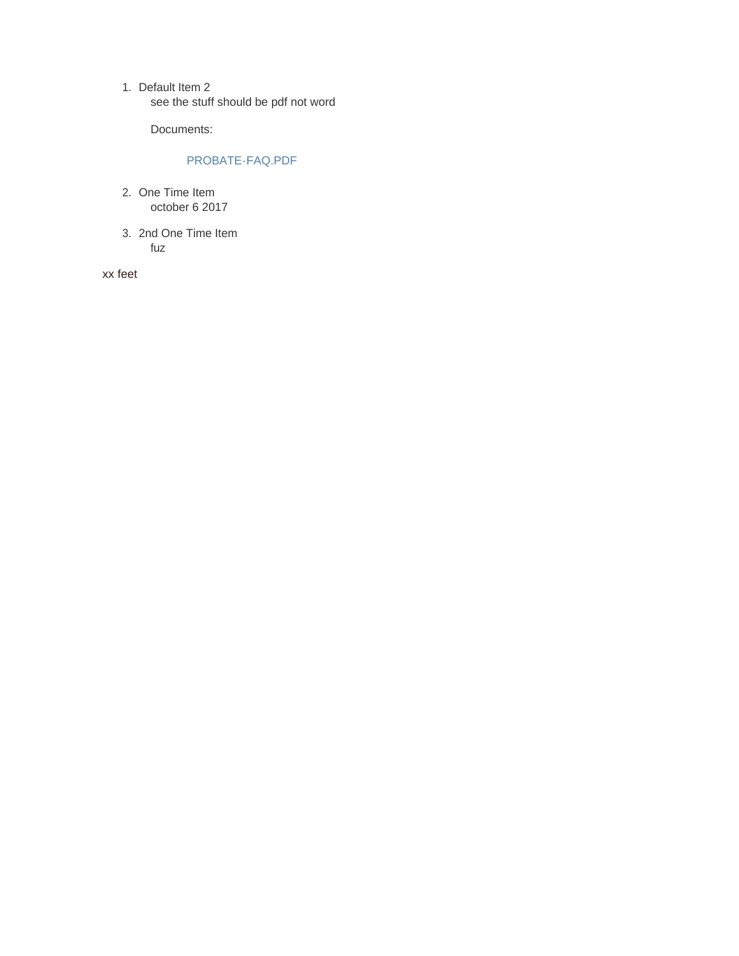1. Default Item 2 see the stuff should be pdf not word

Documents:

# PROBATE-FAQ.PDF

- 2. One Time Item october 6 2017
- 2nd One Time Item 3.fuz

xx feet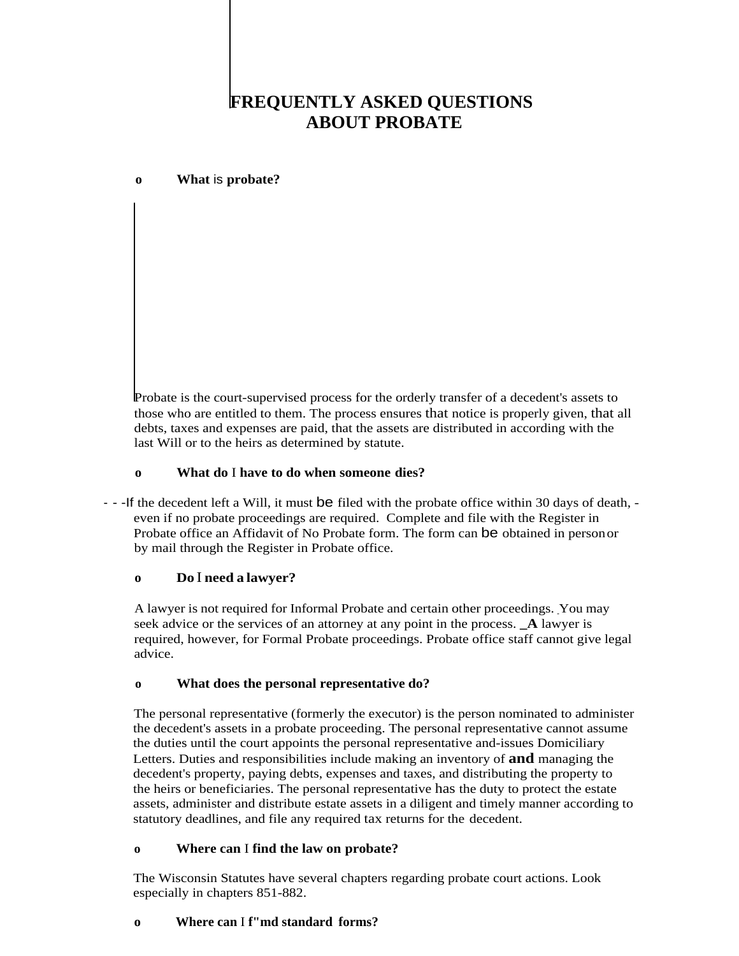# **FREQUENTLY ASKED QUESTIONS ABOUT PROBATE**

## **o What** is **probate?**

Probate is the court-supervised process for the orderly transfer of a decedent's assets to those who are entitled to them. The process ensures that notice is properly given, that all debts, taxes and expenses are paid, that the assets are distributed in according with the last Will or to the heirs as determined by statute.

#### **o What do** I **have to do when someone dies?**

- - -If the decedent left a Will, it must be filed with the probate office within 30 days of death, even if no probate proceedings are required. Complete and file with the Register in Probate office an Affidavit of No Probate form. The form can be obtained in personor by mail through the Register in Probate office.

## **o Do** I **need a lawyer?**

A lawyer is not required for Informal Probate and certain other proceedings. You may seek advice or the services of an attorney at any point in the process. **\_A** lawyer is required, however, for Formal Probate proceedings. Probate office staff cannot give legal advice.

#### **o What does the personal representative do?**

The personal representative (formerly the executor) is the person nominated to administer the decedent's assets in a probate proceeding. The personal representative cannot assume the duties until the court appoints the personal representative and-issues Domiciliary Letters. Duties and responsibilities include making an inventory of **and** managing the decedent's property, paying debts, expenses and taxes, and distributing the property to the heirs or beneficiaries. The personal representative has the duty to protect the estate assets, administer and distribute estate assets in a diligent and timely manner according to statutory deadlines, and file any required tax returns for the decedent.

#### **o Where can** I **find the law on probate?**

The Wisconsin Statutes have several chapters regarding probate court actions. Look especially in chapters 851-882.

## **o Where can** I **f"md standard forms?**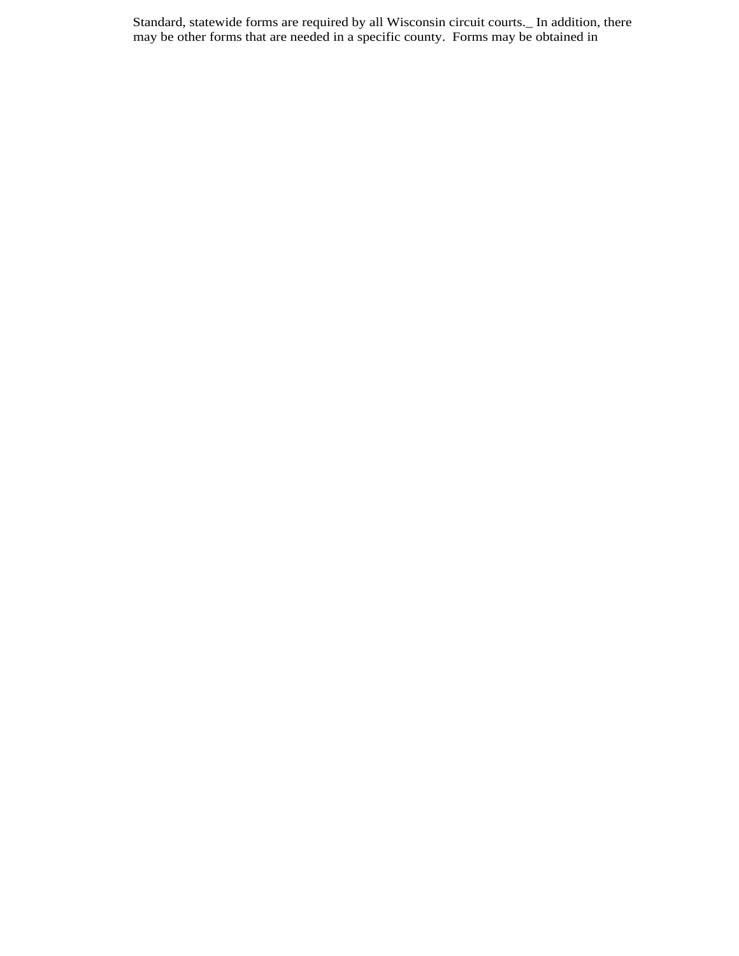Standard, statewide forms are required by all Wisconsin circuit courts.\_ In addition, there may be other forms that are needed in a specific county. Forms may be obtained in